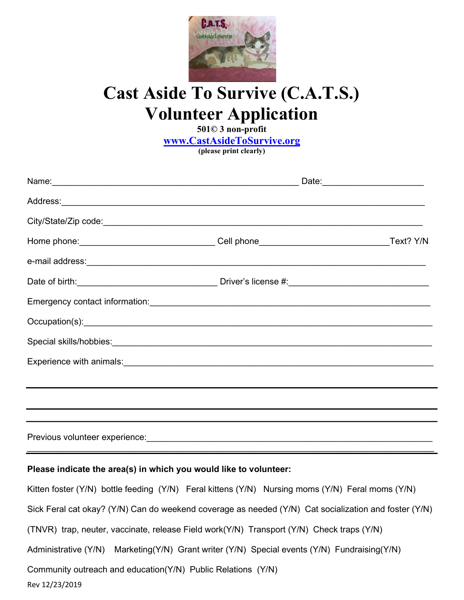

## Cast Aside To Survive (C.A.T.S.) Volunteer Application

501© 3 non-profit

www.CastAsideToSurvive.org

(please print clearly)

## Please indicate the area(s) in which you would like to volunteer:

Rev 12/23/2019 Kitten foster (Y/N) bottle feeding (Y/N) Feral kittens (Y/N) Nursing moms (Y/N) Feral moms (Y/N) Sick Feral cat okay? (Y/N) Can do weekend coverage as needed (Y/N) Cat socialization and foster (Y/N) (TNVR) trap, neuter, vaccinate, release Field work(Y/N) Transport (Y/N) Check traps (Y/N) Administrative (Y/N) Marketing(Y/N) Grant writer (Y/N) Special events (Y/N) Fundraising(Y/N) Community outreach and education(Y/N) Public Relations (Y/N)